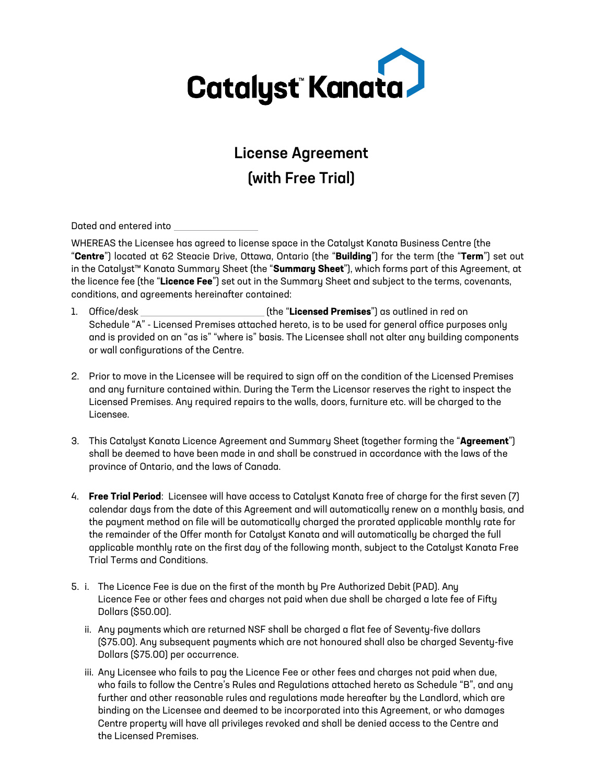

# License Agreement (with Free Trial)

Dated and entered into

WHEREAS the Licensee has agreed to license space in the Catalyst Kanata Business Centre (the "**Centre**") located at 62 Steacie Drive, Ottawa, Ontario (the "**Building**") for the term (the "**Term**") set out in the Catalyst™ Kanata Summary Sheet (the "**Summary Sheet**"), which forms part of this Agreement, at the licence fee (the "**Licence Fee**") set out in the Summary Sheet and subject to the terms, covenants, conditions, and agreements hereinafter contained:

- 1. Office/desk (the "**Licensed Premises**") as outlined in red on Schedule "A" - Licensed Premises attached hereto, is to be used for general office purposes only and is provided on an "as is" "where is" basis. The Licensee shall not alter any building components or wall configurations of the Centre.
- 2. Prior to move in the Licensee will be required to sign off on the condition of the Licensed Premises and any furniture contained within. During the Term the Licensor reserves the right to inspect the Licensed Premises. Any required repairs to the walls, doors, furniture etc. will be charged to the Licensee.
- 3. This Catalyst Kanata Licence Agreement and Summary Sheet (together forming the "**Agreement**") shall be deemed to have been made in and shall be construed in accordance with the laws of the province of Ontario, and the laws of Canada.
- 4. **Free Trial Period**: Licensee will have access to Catalyst Kanata free of charge for the first seven (7) calendar days from the date of this Agreement and will automatically renew on a monthly basis, and the payment method on file will be automatically charged the prorated applicable monthly rate for the remainder of the Offer month for Catalyst Kanata and will automatically be charged the full applicable monthly rate on the first day of the following month, subject to the Catalyst Kanata Free Trial Terms and Conditions.
- 5. i. The Licence Fee is due on the first of the month by Pre Authorized Debit (PAD). Any Licence Fee or other fees and charges not paid when due shall be charged a late fee of Fifty Dollars (\$50.00).
	- ii. Any payments which are returned NSF shall be charged a flat fee of Seventy-five dollars (\$75.00). Any subsequent payments which are not honoured shall also be charged Seventy-five Dollars (\$75.00) per occurrence.
	- iii. Any Licensee who fails to pay the Licence Fee or other fees and charges not paid when due, who fails to follow the Centre's Rules and Regulations attached hereto as Schedule "B", and any further and other reasonable rules and regulations made hereafter by the Landlord, which are binding on the Licensee and deemed to be incorporated into this Agreement, or who damages Centre property will have all privileges revoked and shall be denied access to the Centre and the Licensed Premises.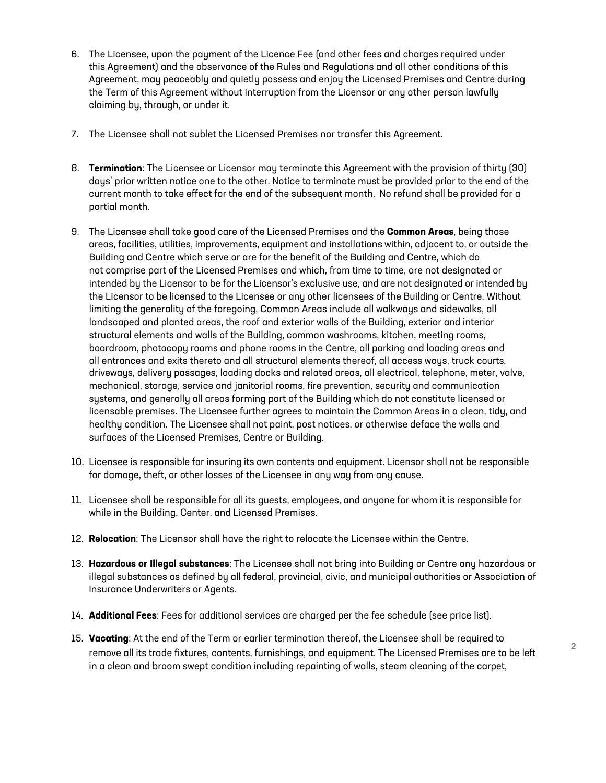- 6. The Licensee, upon the payment of the Licence Fee (and other fees and charges required under this Agreement) and the observance of the Rules and Regulations and all other conditions of this Agreement, may peaceably and quietly possess and enjoy the Licensed Premises and Centre during the Term of this Agreement without interruption from the Licensor or any other person lawfully claiming by, through, or under it.
- 7. The Licensee shall not sublet the Licensed Premises nor transfer this Agreement.
- 8. **Termination**: The Licensee or Licensor may terminate this Agreement with the provision of thirty (30) days' prior written notice one to the other. Notice to terminate must be provided prior to the end of the current month to take effect for the end of the subsequent month. No refund shall be provided for a partial month.
- 9. The Licensee shall take good care of the Licensed Premises and the **Common Areas**, being those areas, facilities, utilities, improvements, equipment and installations within, adjacent to, or outside the Building and Centre which serve or are for the benefit of the Building and Centre, which do not comprise part of the Licensed Premises and which, from time to time, are not designated or intended by the Licensor to be for the Licensor's exclusive use, and are not designated or intended by the Licensor to be licensed to the Licensee or any other licensees of the Building or Centre. Without limiting the generality of the foregoing, Common Areas include all walkways and sidewalks, all landscaped and planted areas, the roof and exterior walls of the Building, exterior and interior structural elements and walls of the Building, common washrooms, kitchen, meeting rooms, boardroom, photocopy rooms and phone rooms in the Centre, all parking and loading areas and all entrances and exits thereto and all structural elements thereof, all access ways, truck courts, driveways, delivery passages, loading docks and related areas, all electrical, telephone, meter, valve, mechanical, storage, service and janitorial rooms, fire prevention, security and communication systems, and generally all areas forming part of the Building which do not constitute licensed or licensable premises. The Licensee further agrees to maintain the Common Areas in a clean, tidy, and healthy condition. The Licensee shall not paint, post notices, or otherwise deface the walls and surfaces of the Licensed Premises, Centre or Building.
- 10. Licensee is responsible for insuring its own contents and equipment. Licensor shall not be responsible for damage, theft, or other losses of the Licensee in any way from any cause.
- 11. Licensee shall be responsible for all its guests, employees, and anyone for whom it is responsible for while in the Building, Center, and Licensed Premises.
- 12. **Relocation**: The Licensor shall have the right to relocate the Licensee within the Centre.
- 13. **Hazardous or Illegal substances**: The Licensee shall not bring into Building or Centre any hazardous or illegal substances as defined by all federal, provincial, civic, and municipal authorities or Association of Insurance Underwriters or Agents.
- 14. **Additional Fees**: Fees for additional services are charged per the fee schedule (see price list).
- 15. **Vacating**: At the end of the Term or earlier termination thereof, the Licensee shall be required to receding. At the end of the form of callier termination thereon, the Licensed endin se required to  $\sim$  2 in a clean and broom swept condition including repainting of walls, steam cleaning of the carpet,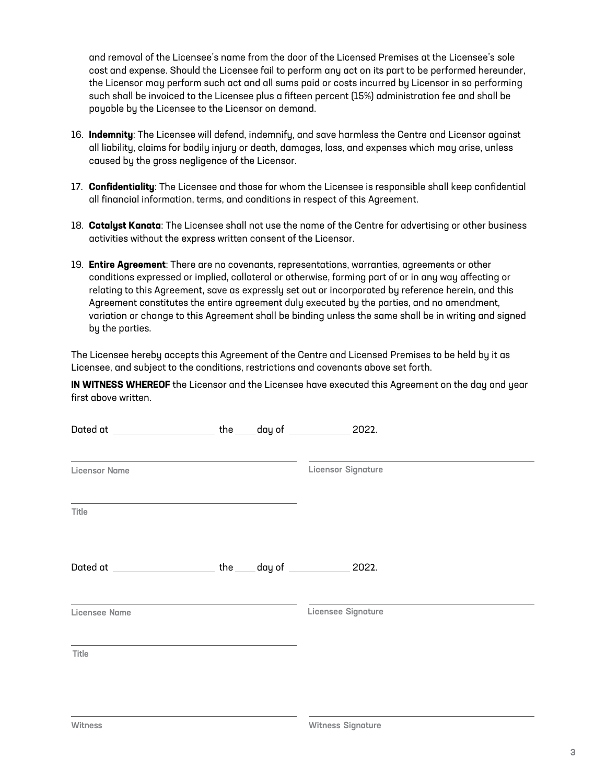and removal of the Licensee's name from the door of the Licensed Premises at the Licensee's sole cost and expense. Should the Licensee fail to perform any act on its part to be performed hereunder, the Licensor may perform such act and all sums paid or costs incurred by Licensor in so performing such shall be invoiced to the Licensee plus a fifteen percent (15%) administration fee and shall be payable by the Licensee to the Licensor on demand.

- 16. **Indemnity**: The Licensee will defend, indemnify, and save harmless the Centre and Licensor against all liability, claims for bodily injury or death, damages, loss, and expenses which may arise, unless caused by the gross negligence of the Licensor.
- 17. **Confidentiality**: The Licensee and those for whom the Licensee is responsible shall keep confidential all financial information, terms, and conditions in respect of this Agreement.
- 18. **Catalyst Kanata**: The Licensee shall not use the name of the Centre for advertising or other business activities without the express written consent of the Licensor.
- 19. **Entire Agreement**: There are no covenants, representations, warranties, agreements or other conditions expressed or implied, collateral or otherwise, forming part of or in any way affecting or relating to this Agreement, save as expressly set out or incorporated by reference herein, and this Agreement constitutes the entire agreement duly executed by the parties, and no amendment, variation or change to this Agreement shall be binding unless the same shall be in writing and signed by the parties.

The Licensee hereby accepts this Agreement of the Centre and Licensed Premises to be held by it as Licensee, and subject to the conditions, restrictions and covenants above set forth.

**IN WITNESS WHEREOF** the Licensor and the Licensee have executed this Agreement on the day and year first above written.

| Dated at _________________________ the _____ day of _______________ 2022.                                                                |  |                           |  |
|------------------------------------------------------------------------------------------------------------------------------------------|--|---------------------------|--|
| <b>Licensor Name</b>                                                                                                                     |  | <b>Licensor Signature</b> |  |
| Title                                                                                                                                    |  |                           |  |
| Dated at ________________________the _____ day of _______________ 2022.                                                                  |  |                           |  |
| and the control of the control of the control of the control of the control of the control of the control of the<br><b>Licensee Name</b> |  | Licensee Signature        |  |
| Title                                                                                                                                    |  |                           |  |
|                                                                                                                                          |  |                           |  |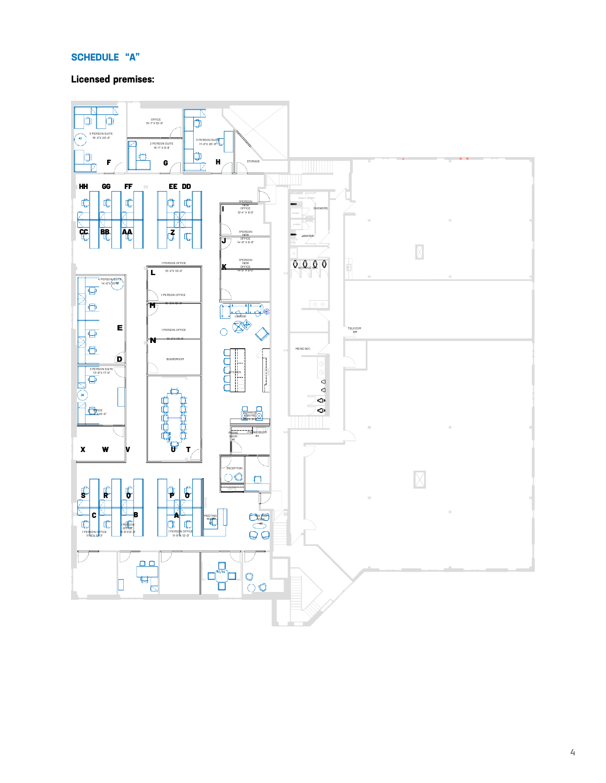### **SCHEDULE "A"**

## **Licensed premises:**

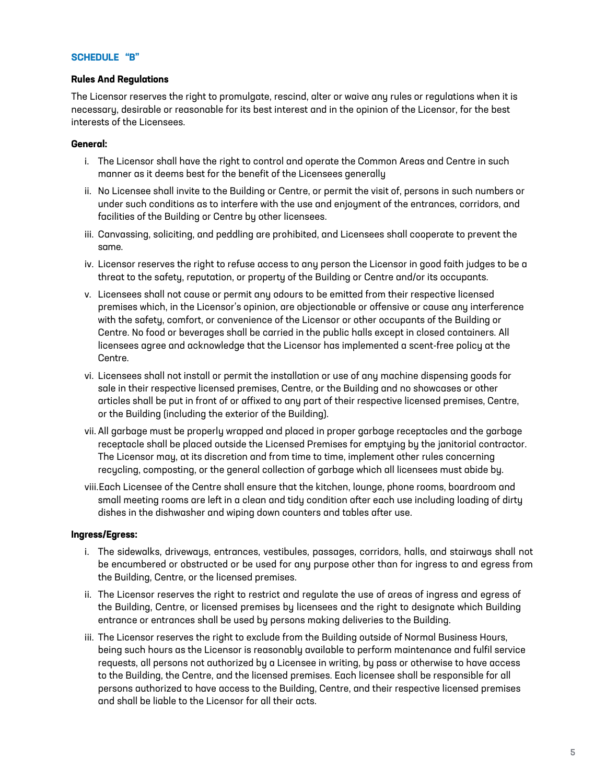#### **SCHEDULE "B"**

#### **Rules And Regulations**

The Licensor reserves the right to promulgate, rescind, alter or waive any rules or regulations when it is necessary, desirable or reasonable for its best interest and in the opinion of the Licensor, for the best interests of the Licensees.

#### **General:**

- i. The Licensor shall have the right to control and operate the Common Areas and Centre in such manner as it deems best for the benefit of the Licensees generally
- ii. No Licensee shall invite to the Building or Centre, or permit the visit of, persons in such numbers or under such conditions as to interfere with the use and enjoyment of the entrances, corridors, and facilities of the Building or Centre by other licensees.
- iii. Canvassing, soliciting, and peddling are prohibited, and Licensees shall cooperate to prevent the same.
- iv. Licensor reserves the right to refuse access to any person the Licensor in good faith judges to be a threat to the safety, reputation, or property of the Building or Centre and/or its occupants.
- v. Licensees shall not cause or permit any odours to be emitted from their respective licensed premises which, in the Licensor's opinion, are objectionable or offensive or cause any interference with the safety, comfort, or convenience of the Licensor or other occupants of the Building or Centre. No food or beverages shall be carried in the public halls except in closed containers. All licensees agree and acknowledge that the Licensor has implemented a scent-free policy at the Centre.
- vi. Licensees shall not install or permit the installation or use of any machine dispensing goods for sale in their respective licensed premises, Centre, or the Building and no showcases or other articles shall be put in front of or affixed to any part of their respective licensed premises, Centre, or the Building (including the exterior of the Building).
- vii. All garbage must be properly wrapped and placed in proper garbage receptacles and the garbage receptacle shall be placed outside the Licensed Premises for emptying by the janitorial contractor. The Licensor may, at its discretion and from time to time, implement other rules concerning recycling, composting, or the general collection of garbage which all licensees must abide by.
- viii.Each Licensee of the Centre shall ensure that the kitchen, lounge, phone rooms, boardroom and small meeting rooms are left in a clean and tidy condition after each use including loading of dirty dishes in the dishwasher and wiping down counters and tables after use.

#### **Ingress/Egress:**

- i. The sidewalks, driveways, entrances, vestibules, passages, corridors, halls, and stairways shall not be encumbered or obstructed or be used for any purpose other than for ingress to and egress from the Building, Centre, or the licensed premises.
- ii. The Licensor reserves the right to restrict and regulate the use of areas of ingress and egress of the Building, Centre, or licensed premises by licensees and the right to designate which Building entrance or entrances shall be used by persons making deliveries to the Building.
- iii. The Licensor reserves the right to exclude from the Building outside of Normal Business Hours, being such hours as the Licensor is reasonably available to perform maintenance and fulfil service requests, all persons not authorized by a Licensee in writing, by pass or otherwise to have access to the Building, the Centre, and the licensed premises. Each licensee shall be responsible for all persons authorized to have access to the Building, Centre, and their respective licensed premises and shall be liable to the Licensor for all their acts.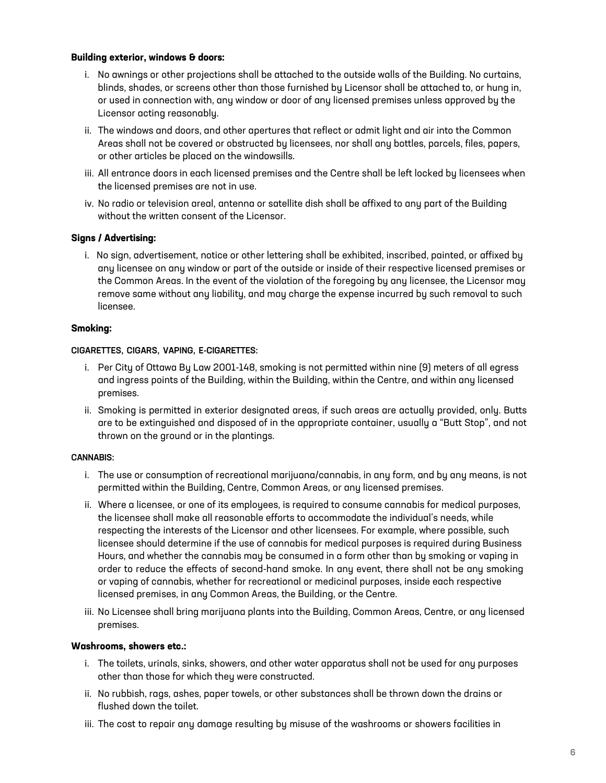#### **Building exterior, windows & doors:**

- i. No awnings or other projections shall be attached to the outside walls of the Building. No curtains, blinds, shades, or screens other than those furnished by Licensor shall be attached to, or hung in, or used in connection with, any window or door of any licensed premises unless approved by the Licensor acting reasonably.
- ii. The windows and doors, and other apertures that reflect or admit light and air into the Common Areas shall not be covered or obstructed by licensees, nor shall any bottles, parcels, files, papers, or other articles be placed on the windowsills.
- iii. All entrance doors in each licensed premises and the Centre shall be left locked by licensees when the licensed premises are not in use.
- iv. No radio or television areal, antenna or satellite dish shall be affixed to any part of the Building without the written consent of the Licensor.

#### **Signs / Advertising:**

i. No sign, advertisement, notice or other lettering shall be exhibited, inscribed, painted, or affixed by any licensee on any window or part of the outside or inside of their respective licensed premises or the Common Areas. In the event of the violation of the foregoing by any licensee, the Licensor may remove same without any liability, and may charge the expense incurred by such removal to such licensee.

#### **Smoking:**

#### CIGARETTES, CIGARS, VAPING, E-CIGARETTES:

- i. Per City of Ottawa By Law 2001-148, smoking is not permitted within nine (9) meters of all egress and ingress points of the Building, within the Building, within the Centre, and within any licensed premises.
- ii. Smoking is permitted in exterior designated areas, if such areas are actually provided, only. Butts are to be extinguished and disposed of in the appropriate container, usually a "Butt Stop", and not thrown on the ground or in the plantings.

#### CANNABIS:

- i. The use or consumption of recreational marijuana/cannabis, in any form, and by any means, is not permitted within the Building, Centre, Common Areas, or any licensed premises.
- ii. Where a licensee, or one of its employees, is required to consume cannabis for medical purposes, the licensee shall make all reasonable efforts to accommodate the individual's needs, while respecting the interests of the Licensor and other licensees. For example, where possible, such licensee should determine if the use of cannabis for medical purposes is required during Business Hours, and whether the cannabis may be consumed in a form other than by smoking or vaping in order to reduce the effects of second-hand smoke. In any event, there shall not be any smoking or vaping of cannabis, whether for recreational or medicinal purposes, inside each respective licensed premises, in any Common Areas, the Building, or the Centre.
- iii. No Licensee shall bring marijuana plants into the Building, Common Areas, Centre, or any licensed premises.

#### **Washrooms, showers etc.:**

- i. The toilets, urinals, sinks, showers, and other water apparatus shall not be used for any purposes other than those for which they were constructed.
- ii. No rubbish, rags, ashes, paper towels, or other substances shall be thrown down the drains or flushed down the toilet.
- iii. The cost to repair any damage resulting by misuse of the washrooms or showers facilities in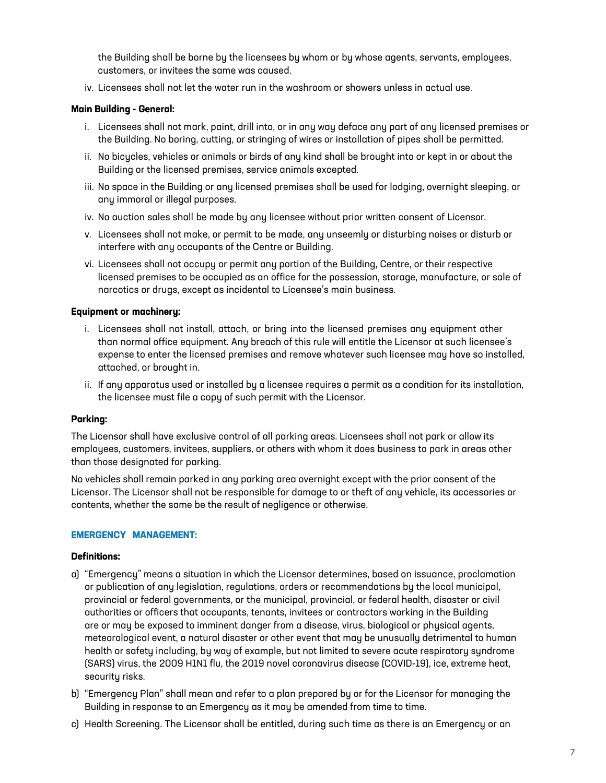the Building shall be borne by the licensees by whom or by whose agents, servants, employees, customers, or invitees the same was caused.

iv. Licensees shall not let the water run in the washroom or showers unless in actual use.

#### **Main Building - General:**

- i. Licensees shall not mark, paint, drill into, or in any way deface any part of any licensed premises or the Building. No boring, cutting, or stringing of wires or installation of pipes shall be permitted.
- ii. No bicycles, vehicles or animals or birds of any kind shall be brought into or kept in or about the Building or the licensed premises, service animals excepted.
- iii. No space in the Building or any licensed premises shall be used for lodging, overnight sleeping, or any immoral or illegal purposes.
- iv. No auction sales shall be made by any licensee without prior written consent of Licensor.
- v. Licensees shall not make, or permit to be made, any unseemly or disturbing noises or disturb or interfere with any occupants of the Centre or Building.
- vi. Licensees shall not occupy or permit any portion of the Building, Centre, or their respective licensed premises to be occupied as an office for the possession, storage, manufacture, or sale of narcotics or drugs, except as incidental to Licensee's main business.

#### **Equipment or machinery:**

- i. Licensees shall not install, attach, or bring into the licensed premises any equipment other than normal office equipment. Any breach of this rule will entitle the Licensor at such licensee's expense to enter the licensed premises and remove whatever such licensee may have so installed, attached, or brought in.
- ii. If any apparatus used or installed by a licensee requires a permit as a condition for its installation, the licensee must file a copy of such permit with the Licensor.

#### **Parking:**

The Licensor shall have exclusive control of all parking areas. Licensees shall not park or allow its employees, customers, invitees, suppliers, or others with whom it does business to park in areas other than those designated for parking.

No vehicles shall remain parked in any parking area overnight except with the prior consent of the Licensor. The Licensor shall not be responsible for damage to or theft of any vehicle, its accessories or contents, whether the same be the result of negligence or otherwise.

#### **EMERGENCY MANAGEMENT:**

#### **Definitions:**

- a) "Emergency" means a situation in which the Licensor determines, based on issuance, proclamation or publication of any legislation, regulations, orders or recommendations by the local municipal, provincial or federal governments, or the municipal, provincial, or federal health, disaster or civil authorities or officers that occupants, tenants, invitees or contractors working in the Building are or may be exposed to imminent danger from a disease, virus, biological or physical agents, meteorological event, a natural disaster or other event that may be unusually detrimental to human health or safety including, by way of example, but not limited to severe acute respiratory syndrome (SARS) virus, the 2009 H1N1 flu, the 2019 novel coronavirus disease (COVID-19), ice, extreme heat, securitu risks.
- b) "Emergency Plan" shall mean and refer to a plan prepared by or for the Licensor for managing the Building in response to an Emergency as it may be amended from time to time.
- c) Health Screening. The Licensor shall be entitled, during such time as there is an Emergency or an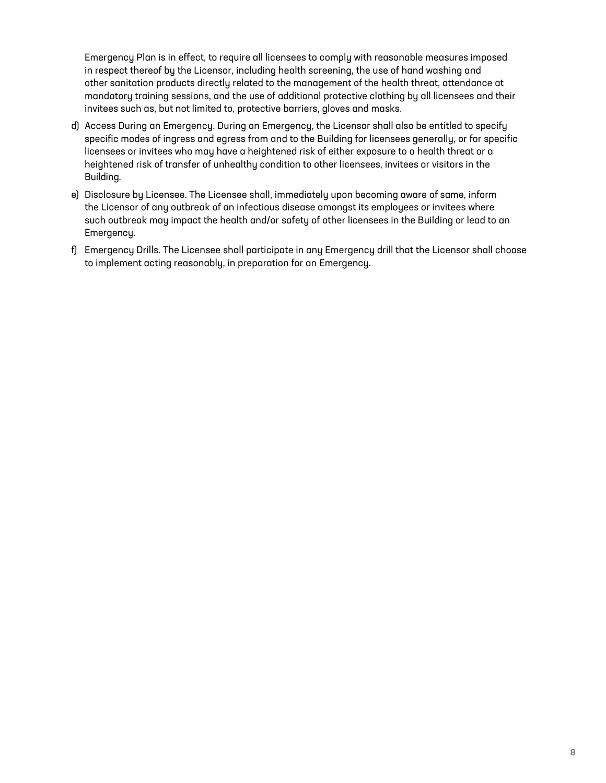Emergency Plan is in effect, to require all licensees to comply with reasonable measures imposed in respect thereof by the Licensor, including health screening, the use of hand washing and other sanitation products directly related to the management of the health threat, attendance at mandatory training sessions, and the use of additional protective clothing by all licensees and their invitees such as, but not limited to, protective barriers, gloves and masks.

- d) Access During an Emergency. During an Emergency, the Licensor shall also be entitled to specify specific modes of ingress and egress from and to the Building for licensees generally, or for specific licensees or invitees who may have a heightened risk of either exposure to a health threat or a heightened risk of transfer of unhealthy condition to other licensees, invitees or visitors in the Building.
- e) Disclosure by Licensee. The Licensee shall, immediately upon becoming aware of same, inform the Licensor of any outbreak of an infectious disease amongst its employees or invitees where such outbreak may impact the health and/or safety of other licensees in the Building or lead to an Emergency.
- f) Emergency Drills. The Licensee shall participate in any Emergency drill that the Licensor shall choose to implement acting reasonably, in preparation for an Emergency.